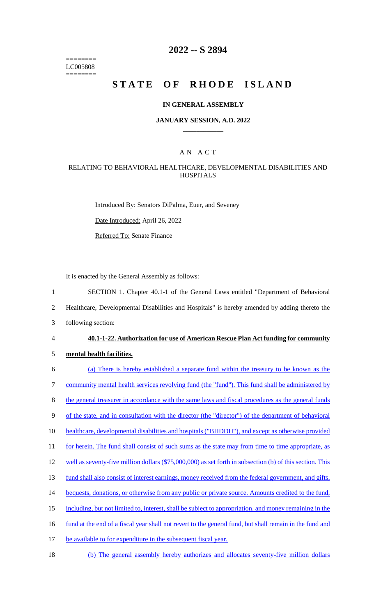======== LC005808 ========

# **2022 -- S 2894**

# **STATE OF RHODE ISLAND**

#### **IN GENERAL ASSEMBLY**

#### **JANUARY SESSION, A.D. 2022 \_\_\_\_\_\_\_\_\_\_\_\_**

### A N A C T

### RELATING TO BEHAVIORAL HEALTHCARE, DEVELOPMENTAL DISABILITIES AND **HOSPITALS**

Introduced By: Senators DiPalma, Euer, and Seveney

Date Introduced: April 26, 2022

Referred To: Senate Finance

It is enacted by the General Assembly as follows:

1 SECTION 1. Chapter 40.1-1 of the General Laws entitled "Department of Behavioral

2 Healthcare, Developmental Disabilities and Hospitals" is hereby amended by adding thereto the

3 following section:

#### 4 **40.1-1-22. Authorization for use of American Rescue Plan Act funding for community**

- 5 **mental health facilities.**
- 6 (a) There is hereby established a separate fund within the treasury to be known as the 7 community mental health services revolving fund (the "fund"). This fund shall be administered by 8 the general treasurer in accordance with the same laws and fiscal procedures as the general funds 9 of the state, and in consultation with the director (the "director") of the department of behavioral 10 healthcare, developmental disabilities and hospitals ("BHDDH"), and except as otherwise provided 11 for herein. The fund shall consist of such sums as the state may from time to time appropriate, as 12 well as seventy-five million dollars (\$75,000,000) as set forth in subsection (b) of this section. This 13 fund shall also consist of interest earnings, money received from the federal government, and gifts, 14 bequests, donations, or otherwise from any public or private source. Amounts credited to the fund, 15 including, but not limited to, interest, shall be subject to appropriation, and money remaining in the 16 fund at the end of a fiscal year shall not revert to the general fund, but shall remain in the fund and 17 be available to for expenditure in the subsequent fiscal year. 18 (b) The general assembly hereby authorizes and allocates seventy-five million dollars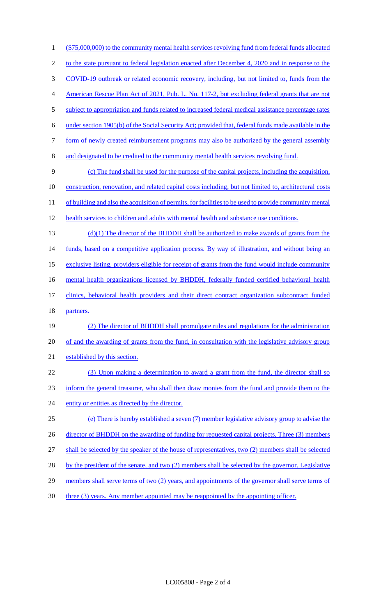1 (\$75,000,000) to the community mental health services revolving fund from federal funds allocated 2 to the state pursuant to federal legislation enacted after December 4, 2020 and in response to the 3 COVID-19 outbreak or related economic recovery, including, but not limited to, funds from the 4 American Rescue Plan Act of 2021, Pub. L. No. 117-2, but excluding federal grants that are not 5 subject to appropriation and funds related to increased federal medical assistance percentage rates 6 under section 1905(b) of the Social Security Act; provided that, federal funds made available in the 7 form of newly created reimbursement programs may also be authorized by the general assembly 8 and designated to be credited to the community mental health services revolving fund. 9 (c) The fund shall be used for the purpose of the capital projects, including the acquisition, 10 construction, renovation, and related capital costs including, but not limited to, architectural costs 11 of building and also the acquisition of permits, for facilities to be used to provide community mental 12 health services to children and adults with mental health and substance use conditions.  $(d)(1)$  The director of the BHDDH shall be authorized to make awards of grants from the 14 funds, based on a competitive application process. By way of illustration, and without being an 15 exclusive listing, providers eligible for receipt of grants from the fund would include community 16 mental health organizations licensed by BHDDH, federally funded certified behavioral health 17 clinics, behavioral health providers and their direct contract organization subcontract funded 18 partners. 19 (2) The director of BHDDH shall promulgate rules and regulations for the administration 20 of and the awarding of grants from the fund, in consultation with the legislative advisory group 21 established by this section. 22 (3) Upon making a determination to award a grant from the fund, the director shall so 23 inform the general treasurer, who shall then draw monies from the fund and provide them to the 24 entity or entities as directed by the director. 25 (e) There is hereby established a seven (7) member legislative advisory group to advise the 26 director of BHDDH on the awarding of funding for requested capital projects. Three (3) members 27 shall be selected by the speaker of the house of representatives, two (2) members shall be selected 28 by the president of the senate, and two (2) members shall be selected by the governor. Legislative 29 members shall serve terms of two (2) years, and appointments of the governor shall serve terms of 30 three (3) years. Any member appointed may be reappointed by the appointing officer.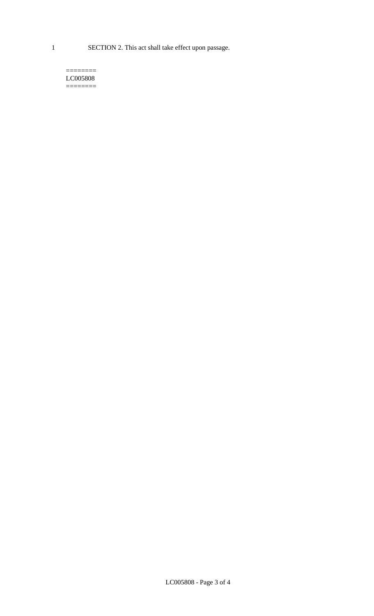1 SECTION 2. This act shall take effect upon passage.

#### $=$ LC005808 ========